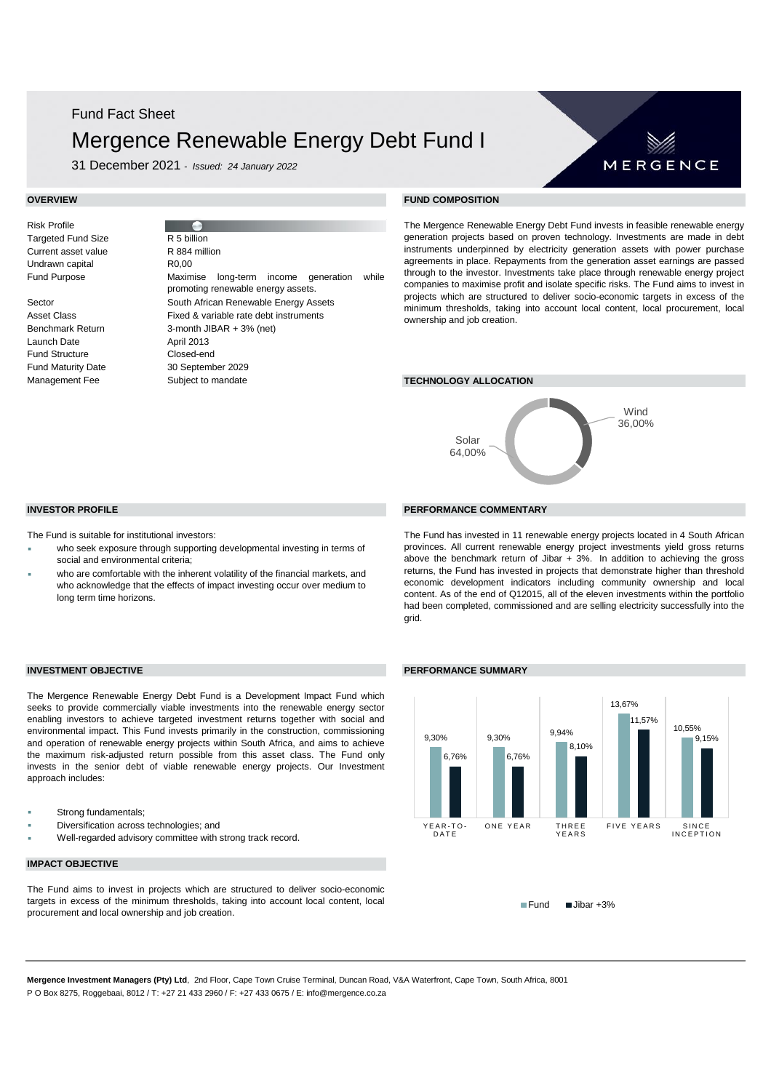## Fund Fact Sheet

## Mergence Renewable Energy Debt Fund I

31 December 2021 - *Issued: 24 January 2022*

Risk Profile **Targeted Fund Size** Current asset value Undrawn capital Fund Purpose Sector South African Renewable Energy Assets Asset Class Fixed & variable rate debt instruments Benchmark Return 3-month JIBAR + 3% (net) Launch Date **April 2013** R 5 billion R0,00 R 884 million

Fund Structure Closed-end Fund Maturity Date 30 September 2029 Management Fee **Subject to mandate TECHNOLOGY ALLOCATION** Maximise long-term income generation while promoting renewable energy assets. Subject to mandate

### **OVERVIEW FUND COMPOSITION**

The Mergence Renewable Energy Debt Fund invests in feasible renewable energy generation projects based on proven technology. Investments are made in debt instruments underpinned by electricity generation assets with power purchase agreements in place. Repayments from the generation asset earnings are passed through to the investor. Investments take place through renewable energy project companies to maximise profit and isolate specific risks. The Fund aims to invest in projects which are structured to deliver socio-economic targets in excess of the minimum thresholds, taking into account local content, local procurement, local ownership and job creation.



### **INVESTOR PROFILE PERFORMANCE COMMENTARY**

- who seek exposure through supporting developmental investing in terms of
- who are comfortable with the inherent volatility of the financial markets, and who acknowledge that the effects of impact investing occur over medium to long term time horizons.

The Mergence Renewable Energy Debt Fund is a Development Impact Fund which seeks to provide commercially viable investments into the renewable energy sector enabling investors to achieve targeted investment returns together with social and environmental impact. This Fund invests primarily in the construction, commissioning and operation of renewable energy projects within South Africa, and aims to achieve the maximum risk-adjusted return possible from this asset class. The Fund only invests in the senior debt of viable renewable energy projects. Our Investment

### The Fund has invested in 11 renewable energy projects located in 4 South African provinces. All current renewable energy project investments yield gross returns above the benchmark return of Jibar  $+ 3%$ . In addition to achieving the gross returns, the Fund has invested in projects that demonstrate higher than threshold economic development indicators including community ownership and local content. As of the end of Q12015, all of the eleven investments within the portfolio had been completed, commissioned and are selling electricity successfully into the grid.



**IMPACT OBJECTIVE**

Diversification across technologies; and

Strong fundamentals;

approach includes:

The Fund aims to invest in projects which are structured to deliver socio-economic targets in excess of the minimum thresholds, taking into account local content, local procurement and local ownership and job creation.

Well-regarded advisory committee with strong track record.

Fund Jibar +3%

**Mergence Investment Managers (Pty) Ltd**, 2nd Floor, Cape Town Cruise Terminal, Duncan Road, V&A Waterfront, Cape Town, South Africa, 8001 P O Box 8275, Roggebaai, 8012 / T: +27 21 433 2960 / F: +27 433 0675 / E: info@mergence.co.za

The Fund is suitable for institutional investors:

- social and environmental criteria;
- 

**INVESTMENT OBJECTIVE PERFORMANCE SUMMARY**

MERGENCE